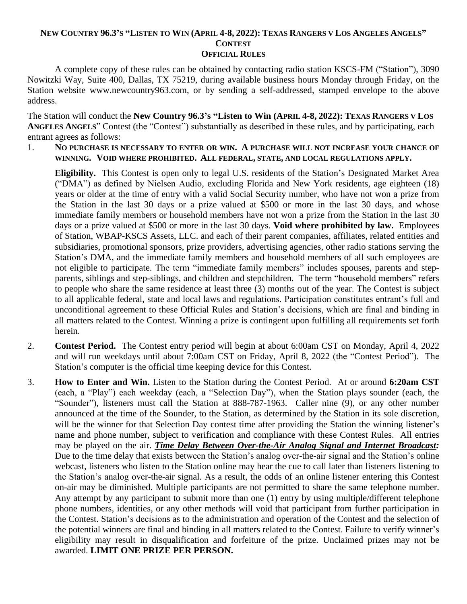## NEW COUNTRY 96.3'S "LISTEN TO WIN (APRIL 4-8, 2022): TEXAS RANGERS V LOS ANGELES ANGELS" **CONTEST**

**OFFICIAL RULES** 

A complete copy of these rules can be obtained by contacting radio station KSCS-FM ("Station"), 3090 Nowitzki Way, Suite 400, Dallas, TX 75219, during available business hours Monday through Friday, on the Station website www.newcountry963.com, or by sending a self-addressed, stamped envelope to the above address.

The Station will conduct the **New Country 96.3's "Listen to Win (APRIL 4-8, 2022): TEXAS RANGERS V LOS ANGELES ANGELS**" Contest (the "Contest") substantially as described in these rules, and by participating, each entrant agrees as follows:

1. **NO PURCHASE IS NECESSARY TO ENTER OR WIN. A PURCHASE WILL NOT INCREASE YOUR CHANCE OF WINNING. VOID WHERE PROHIBITED. ALL FEDERAL, STATE, AND LOCAL REGULATIONS APPLY.**

**Eligibility.** This Contest is open only to legal U.S. residents of the Station's Designated Market Area ("DMA") as defined by Nielsen Audio, excluding Florida and New York residents, age eighteen (18) years or older at the time of entry with a valid Social Security number, who have not won a prize from the Station in the last 30 days or a prize valued at \$500 or more in the last 30 days, and whose immediate family members or household members have not won a prize from the Station in the last 30 days or a prize valued at \$500 or more in the last 30 days. **Void where prohibited by law.** Employees of Station, WBAP-KSCS Assets, LLC. and each of their parent companies, affiliates, related entities and subsidiaries, promotional sponsors, prize providers, advertising agencies, other radio stations serving the Station's DMA, and the immediate family members and household members of all such employees are not eligible to participate. The term "immediate family members" includes spouses, parents and stepparents, siblings and step-siblings, and children and stepchildren. The term "household members" refers to people who share the same residence at least three (3) months out of the year. The Contest is subject to all applicable federal, state and local laws and regulations. Participation constitutes entrant's full and unconditional agreement to these Official Rules and Station's decisions, which are final and binding in all matters related to the Contest. Winning a prize is contingent upon fulfilling all requirements set forth herein.

- 2. **Contest Period.** The Contest entry period will begin at about 6:00am CST on Monday, April 4, 2022 and will run weekdays until about 7:00am CST on Friday, April 8, 2022 (the "Contest Period"). The Station's computer is the official time keeping device for this Contest.
- 3. **How to Enter and Win.** Listen to the Station during the Contest Period. At or around **6:20am CST** (each, a "Play") each weekday (each, a "Selection Day"), when the Station plays sounder (each, the "Sounder"), listeners must call the Station at 888-787-1963. Caller nine (9), or any other number announced at the time of the Sounder, to the Station, as determined by the Station in its sole discretion, will be the winner for that Selection Day contest time after providing the Station the winning listener's name and phone number, subject to verification and compliance with these Contest Rules. All entries may be played on the air. *Time Delay Between Over-the-Air Analog Signal and Internet Broadcast:* Due to the time delay that exists between the Station's analog over-the-air signal and the Station's online webcast, listeners who listen to the Station online may hear the cue to call later than listeners listening to the Station's analog over-the-air signal. As a result, the odds of an online listener entering this Contest on-air may be diminished. Multiple participants are not permitted to share the same telephone number. Any attempt by any participant to submit more than one (1) entry by using multiple/different telephone phone numbers, identities, or any other methods will void that participant from further participation in the Contest. Station's decisions as to the administration and operation of the Contest and the selection of the potential winners are final and binding in all matters related to the Contest. Failure to verify winner's eligibility may result in disqualification and forfeiture of the prize. Unclaimed prizes may not be awarded. **LIMIT ONE PRIZE PER PERSON.**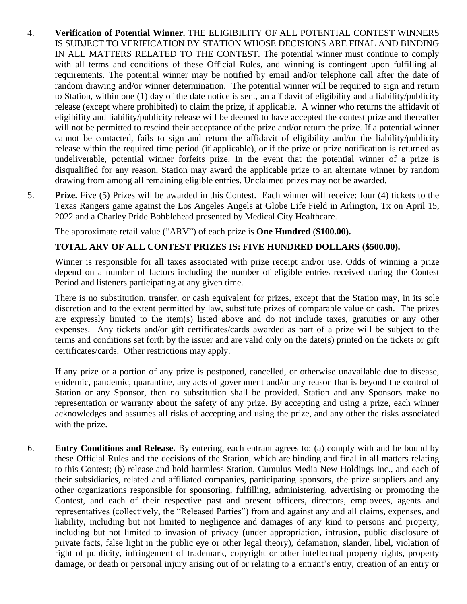- 4. **Verification of Potential Winner.** THE ELIGIBILITY OF ALL POTENTIAL CONTEST WINNERS IS SUBJECT TO VERIFICATION BY STATION WHOSE DECISIONS ARE FINAL AND BINDING IN ALL MATTERS RELATED TO THE CONTEST. The potential winner must continue to comply with all terms and conditions of these Official Rules, and winning is contingent upon fulfilling all requirements. The potential winner may be notified by email and/or telephone call after the date of random drawing and/or winner determination. The potential winner will be required to sign and return to Station, within one (1) day of the date notice is sent, an affidavit of eligibility and a liability/publicity release (except where prohibited) to claim the prize, if applicable. A winner who returns the affidavit of eligibility and liability/publicity release will be deemed to have accepted the contest prize and thereafter will not be permitted to rescind their acceptance of the prize and/or return the prize. If a potential winner cannot be contacted, fails to sign and return the affidavit of eligibility and/or the liability/publicity release within the required time period (if applicable), or if the prize or prize notification is returned as undeliverable, potential winner forfeits prize. In the event that the potential winner of a prize is disqualified for any reason, Station may award the applicable prize to an alternate winner by random drawing from among all remaining eligible entries. Unclaimed prizes may not be awarded.
- 5. **Prize.** Five (5) Prizes will be awarded in this Contest. Each winner will receive: four (4) tickets to the Texas Rangers game against the Los Angeles Angels at Globe Life Field in Arlington, Tx on April 15, 2022 and a Charley Pride Bobblehead presented by Medical City Healthcare.

The approximate retail value ("ARV") of each prize is **One Hundred** (**\$100.00).** 

## **TOTAL ARV OF ALL CONTEST PRIZES IS: FIVE HUNDRED DOLLARS (\$500.00).**

Winner is responsible for all taxes associated with prize receipt and/or use. Odds of winning a prize depend on a number of factors including the number of eligible entries received during the Contest Period and listeners participating at any given time.

There is no substitution, transfer, or cash equivalent for prizes, except that the Station may, in its sole discretion and to the extent permitted by law, substitute prizes of comparable value or cash. The prizes are expressly limited to the item(s) listed above and do not include taxes, gratuities or any other expenses. Any tickets and/or gift certificates/cards awarded as part of a prize will be subject to the terms and conditions set forth by the issuer and are valid only on the date(s) printed on the tickets or gift certificates/cards. Other restrictions may apply.

If any prize or a portion of any prize is postponed, cancelled, or otherwise unavailable due to disease, epidemic, pandemic, quarantine, any acts of government and/or any reason that is beyond the control of Station or any Sponsor, then no substitution shall be provided. Station and any Sponsors make no representation or warranty about the safety of any prize. By accepting and using a prize, each winner acknowledges and assumes all risks of accepting and using the prize, and any other the risks associated with the prize.

6. **Entry Conditions and Release.** By entering, each entrant agrees to: (a) comply with and be bound by these Official Rules and the decisions of the Station, which are binding and final in all matters relating to this Contest; (b) release and hold harmless Station, Cumulus Media New Holdings Inc., and each of their subsidiaries, related and affiliated companies, participating sponsors, the prize suppliers and any other organizations responsible for sponsoring, fulfilling, administering, advertising or promoting the Contest, and each of their respective past and present officers, directors, employees, agents and representatives (collectively, the "Released Parties") from and against any and all claims, expenses, and liability, including but not limited to negligence and damages of any kind to persons and property, including but not limited to invasion of privacy (under appropriation, intrusion, public disclosure of private facts, false light in the public eye or other legal theory), defamation, slander, libel, violation of right of publicity, infringement of trademark, copyright or other intellectual property rights, property damage, or death or personal injury arising out of or relating to a entrant's entry, creation of an entry or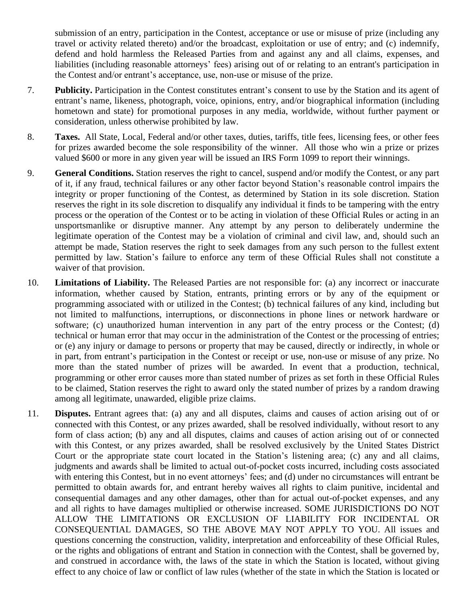submission of an entry, participation in the Contest, acceptance or use or misuse of prize (including any travel or activity related thereto) and/or the broadcast, exploitation or use of entry; and (c) indemnify, defend and hold harmless the Released Parties from and against any and all claims, expenses, and liabilities (including reasonable attorneys' fees) arising out of or relating to an entrant's participation in the Contest and/or entrant's acceptance, use, non-use or misuse of the prize.

- 7. **Publicity.** Participation in the Contest constitutes entrant's consent to use by the Station and its agent of entrant's name, likeness, photograph, voice, opinions, entry, and/or biographical information (including hometown and state) for promotional purposes in any media, worldwide, without further payment or consideration, unless otherwise prohibited by law.
- 8. **Taxes.** All State, Local, Federal and/or other taxes, duties, tariffs, title fees, licensing fees, or other fees for prizes awarded become the sole responsibility of the winner. All those who win a prize or prizes valued \$600 or more in any given year will be issued an IRS Form 1099 to report their winnings.
- 9. **General Conditions.** Station reserves the right to cancel, suspend and/or modify the Contest, or any part of it, if any fraud, technical failures or any other factor beyond Station's reasonable control impairs the integrity or proper functioning of the Contest, as determined by Station in its sole discretion. Station reserves the right in its sole discretion to disqualify any individual it finds to be tampering with the entry process or the operation of the Contest or to be acting in violation of these Official Rules or acting in an unsportsmanlike or disruptive manner. Any attempt by any person to deliberately undermine the legitimate operation of the Contest may be a violation of criminal and civil law, and, should such an attempt be made, Station reserves the right to seek damages from any such person to the fullest extent permitted by law. Station's failure to enforce any term of these Official Rules shall not constitute a waiver of that provision.
- 10. **Limitations of Liability.** The Released Parties are not responsible for: (a) any incorrect or inaccurate information, whether caused by Station, entrants, printing errors or by any of the equipment or programming associated with or utilized in the Contest; (b) technical failures of any kind, including but not limited to malfunctions, interruptions, or disconnections in phone lines or network hardware or software; (c) unauthorized human intervention in any part of the entry process or the Contest; (d) technical or human error that may occur in the administration of the Contest or the processing of entries; or (e) any injury or damage to persons or property that may be caused, directly or indirectly, in whole or in part, from entrant's participation in the Contest or receipt or use, non-use or misuse of any prize. No more than the stated number of prizes will be awarded. In event that a production, technical, programming or other error causes more than stated number of prizes as set forth in these Official Rules to be claimed, Station reserves the right to award only the stated number of prizes by a random drawing among all legitimate, unawarded, eligible prize claims.
- 11. **Disputes.** Entrant agrees that: (a) any and all disputes, claims and causes of action arising out of or connected with this Contest, or any prizes awarded, shall be resolved individually, without resort to any form of class action; (b) any and all disputes, claims and causes of action arising out of or connected with this Contest, or any prizes awarded, shall be resolved exclusively by the United States District Court or the appropriate state court located in the Station's listening area; (c) any and all claims, judgments and awards shall be limited to actual out-of-pocket costs incurred, including costs associated with entering this Contest, but in no event attorneys' fees; and (d) under no circumstances will entrant be permitted to obtain awards for, and entrant hereby waives all rights to claim punitive, incidental and consequential damages and any other damages, other than for actual out-of-pocket expenses, and any and all rights to have damages multiplied or otherwise increased. SOME JURISDICTIONS DO NOT ALLOW THE LIMITATIONS OR EXCLUSION OF LIABILITY FOR INCIDENTAL OR CONSEQUENTIAL DAMAGES, SO THE ABOVE MAY NOT APPLY TO YOU. All issues and questions concerning the construction, validity, interpretation and enforceability of these Official Rules, or the rights and obligations of entrant and Station in connection with the Contest, shall be governed by, and construed in accordance with, the laws of the state in which the Station is located, without giving effect to any choice of law or conflict of law rules (whether of the state in which the Station is located or